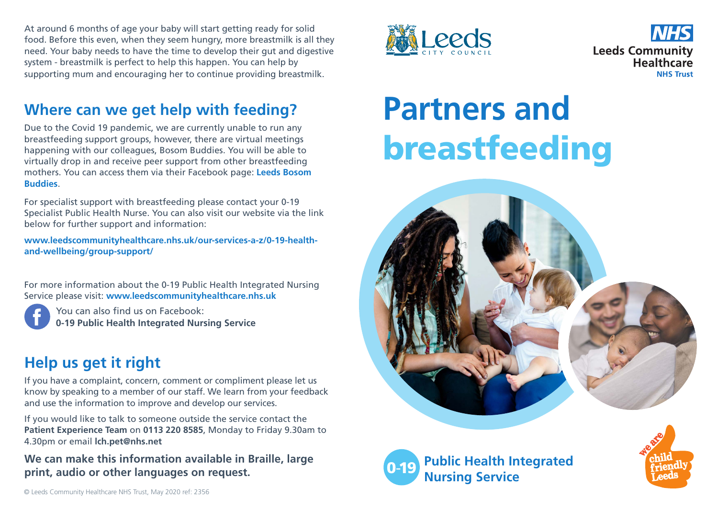At around 6 months of age your baby will start getting ready for solid food. Before this even, when they seem hungry, more breastmilk is all they need. Your baby needs to have the time to develop their gut and digestive system - breastmilk is perfect to help this happen. You can help by supporting mum and encouraging her to continue providing breastmilk.

#### **Where can we get help with feeding?**

Due to the Covid 19 pandemic, we are currently unable to run any breastfeeding support groups, however, there are virtual meetings happening with our colleagues, Bosom Buddies. You will be able to virtually drop in and receive peer support from other breastfeeding mothers. You can access them via their Facebook page: **Leeds Bosom Buddies**.

For specialist support with breastfeeding please contact your 0-19 Specialist Public Health Nurse. You can also visit our website via the link below for further support and information:

**www.leedscommunityhealthcare.nhs.uk/our-services-a-z/0-19-healthand-wellbeing/group-support/**

For more information about the 0-19 Public Health Integrated Nursing Service please visit: **www.leedscommunityhealthcare.nhs.uk**

You can also find us on Facebook: **0-19 Public Health Integrated Nursing Service**

#### **Help us get it right**

If you have a complaint, concern, comment or compliment please let us know by speaking to a member of our staff. We learn from your feedback and use the information to improve and develop our services.

If you would like to talk to someone outside the service contact the **Patient Experience Team** on **0113 220 8585**, Monday to Friday 9.30am to 4.30pm or email **lch.pet@nhs.net**

**We can make this information available in Braille, large print, audio or other languages on request.** 





# **Partners and** breastfeeding





**Public Health Integrated Nursing Service**